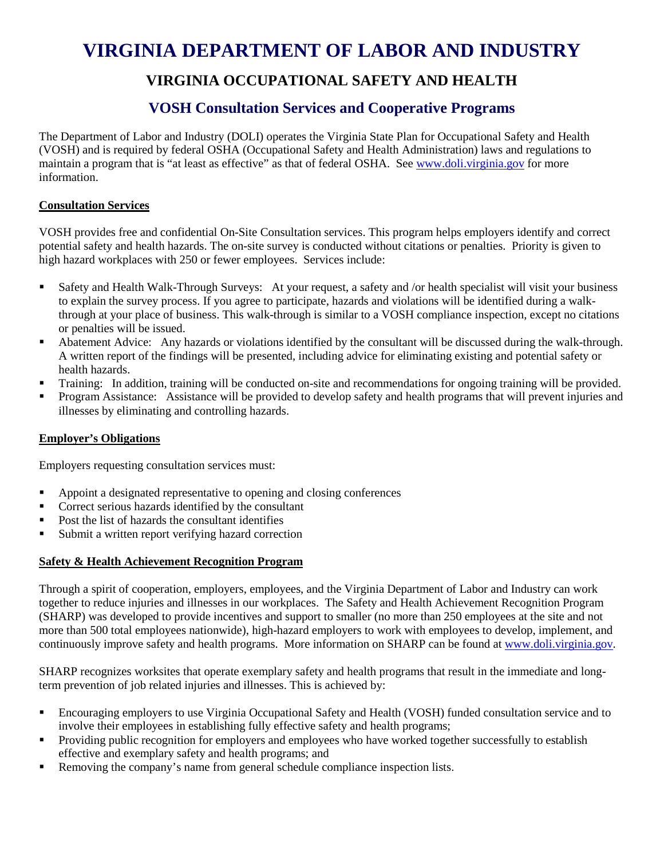# **VIRGINIA DEPARTMENT OF LABOR AND INDUSTRY**

## **VIRGINIA OCCUPATIONAL SAFETY AND HEALTH**

### **VOSH Consultation Services and Cooperative Programs**

The Department of Labor and Industry (DOLI) operates the Virginia State Plan for Occupational Safety and Health (VOSH) and is required by federal OSHA (Occupational Safety and Health Administration) laws and regulations to maintain a program that is "at least as effective" as that of federal OSHA. See [www.doli.virginia.gov](http://www.doli.virginia.gov/) for more information.

#### **Consultation Services**

VOSH provides free and confidential On-Site Consultation services. This program helps employers identify and correct potential safety and health hazards. The on-site survey is conducted without citations or penalties. Priority is given to high hazard workplaces with 250 or fewer employees. Services include:

- Safety and Health Walk-Through Surveys: At your request, a safety and /or health specialist will visit your business to explain the survey process. If you agree to participate, hazards and violations will be identified during a walkthrough at your place of business. This walk-through is similar to a VOSH compliance inspection, except no citations or penalties will be issued.
- Abatement Advice: Any hazards or violations identified by the consultant will be discussed during the walk-through. A written report of the findings will be presented, including advice for eliminating existing and potential safety or health hazards.
- Training: In addition, training will be conducted on-site and recommendations for ongoing training will be provided.
- Program Assistance: Assistance will be provided to develop safety and health programs that will prevent injuries and illnesses by eliminating and controlling hazards.

#### **Employer's Obligations**

Employers requesting consultation services must:

- Appoint a designated representative to opening and closing conferences
- **Correct serious hazards identified by the consultant**
- Post the list of hazards the consultant identifies
- Submit a written report verifying hazard correction

#### **Safety & Health Achievement Recognition Program**

Through a spirit of cooperation, employers, employees, and the Virginia Department of Labor and Industry can work together to reduce injuries and illnesses in our workplaces. The Safety and Health Achievement Recognition Program (SHARP) was developed to provide incentives and support to smaller (no more than 250 employees at the site and not more than 500 total employees nationwide), high-hazard employers to work with employees to develop, implement, and continuously improve safety and health programs. More information on SHARP can be found at [www.doli.virginia.gov.](http://www.doli.virginia.gov/)

SHARP recognizes worksites that operate exemplary safety and health programs that result in the immediate and longterm prevention of job related injuries and illnesses. This is achieved by:

- Encouraging employers to use Virginia Occupational Safety and Health (VOSH) funded consultation service and to involve their employees in establishing fully effective safety and health programs;
- **Providing public recognition for employers and employees who have worked together successfully to establish** effective and exemplary safety and health programs; and
- Removing the company's name from general schedule compliance inspection lists.